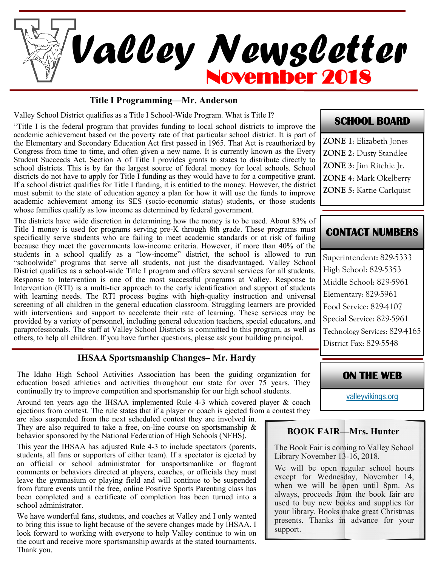

#### **Title I Programming—Mr. Anderson**

Valley School District qualifies as a Title I School-Wide Program. What is Title I?

"Title I is the federal program that provides funding to local school districts to improve the academic achievement based on the poverty rate of that particular school district. It is part of the Elementary and Secondary Education Act first passed in 1965. That Act is reauthorized by Congress from time to time, and often given a new name. It is currently known as the Every Student Succeeds Act. Section A of Title I provides grants to states to distribute directly to school districts. This is by far the largest source of federal money for local schools. School districts do not have to apply for Title I funding as they would have to for a competitive grant. If a school district qualifies for Title I funding, it is entitled to the money. However, the district must submit to the state of education agency a plan for how it will use the funds to improve academic achievement among its SES (socio-economic status) students, or those students whose families qualify as low income as determined by federal government.

The districts have wide discretion in determining how the money is to be used. About 83% of Title I money is used for programs serving pre-K through 8th grade. These programs must specifically serve students who are failing to meet academic standards or at risk of failing because they meet the governments low-income criteria. However, if more than 40% of the students in a school qualify as a "low-income" district, the school is allowed to run "schoolwide" programs that serve all students, not just the disadvantaged. Valley School District qualifies as a school-wide Title I program and offers several services for all students. Response to Intervention is one of the most successful programs at Valley. Response to Intervention (RTI) is a multi-tier approach to the early identification and support of students with learning needs. The RTI process begins with high-quality instruction and universal screening of all children in the general education classroom. Struggling learners are provided with interventions and support to accelerate their rate of learning. These services may be provided by a variety of personnel, including general education teachers, special educators, and paraprofessionals. The staff at Valley School Districts is committed to this program, as well as others, to help all children. If you have further questions, please ask your building principal.

#### **IHSAA Sportsmanship Changes– Mr. Hardy**

The Idaho High School Activities Association has been the guiding organization for education based athletics and activities throughout our state for over 75 years. They continually try to improve competition and sportsmanship for our high school students.

Around ten years ago the IHSAA implemented Rule 4-3 which covered player & coach ejections from contest. The rule states that if a player or coach is ejected from a contest they

are also suspended from the next scheduled contest they are involved in. They are also required to take a free, on-line course on sportsmanship  $\&$ behavior sponsored by the National Federation of High Schools (NFHS).

This year the IHSAA has adjusted Rule 4-3 to include spectators (parents, students, all fans or supporters of either team). If a spectator is ejected by an official or school administrator for unsportsmanlike or flagrant comments or behaviors directed at players, coaches, or officials they must leave the gymnasium or playing field and will continue to be suspended from future events until the free, online Positive Sports Parenting class has been completed and a certificate of completion has been turned into a school administrator.

We have wonderful fans, students, and coaches at Valley and I only wanted to bring this issue to light because of the severe changes made by IHSAA. I look forward to working with everyone to help Valley continue to win on the court and receive more sportsmanship awards at the stated tournaments. Thank you.

## **SCHOOL BOARD**

**ZONE 1**: Elizabeth Jones **ZONE 2**: Dusty Standlee **ZONE 3**: Jim Ritchie Jr. **ZONE 4**: Mark Okelberry **ZONE 5**: Kattie Carlquist

# **CONTACT NUMBERS**

Superintendent: 829-5333 High School: 829-5353 Middle School: 829-5961 Elementary: 829-5961 Food Service: 829-4107 Special Service: 829-5961 Technology Services: 829-4165 District Fax: 829-5548

**ON THE WEB** 

[valleyvikings.org](http://www.valleyvikings.org/)

## **BOOK FAIR—Mrs. Hunter**

The Book Fair is coming to Valley School Library November 13-16, 2018.

We will be open regular school hours except for Wednesday, November 14, when we will be open until 8pm. As always, proceeds from the book fair are used to buy new books and supplies for your library. Books make great Christmas presents. Thanks in advance for your support.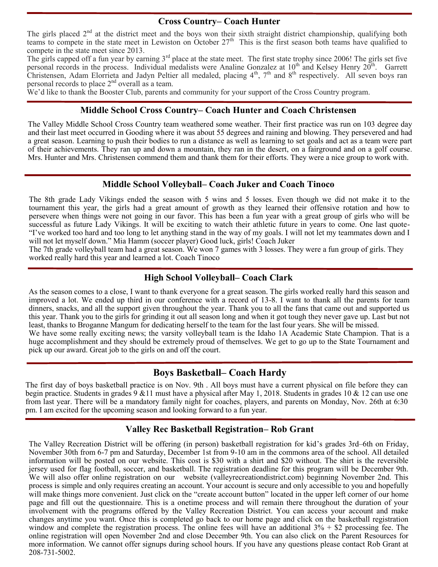#### **Cross Country– Coach Hunter**

The girls placed 2<sup>nd</sup> at the district meet and the boys won their sixth straight district championship, qualifying both teams to compete in the state meet in Lewiston on October  $27<sup>th</sup>$  This is the first season both teams have qualified to compete in the state meet since 2013.

The girls capped off a fun year by earning  $3<sup>rd</sup>$  place at the state meet. The first state trophy since 2006! The girls set five personal records in the process. Individual medalists were Analine Gonzalez at  $10^{th}$  and Kelsey Henry  $20^{th}$ . Garrett Christensen, Adam Elorrieta and Jadyn Peltier all medaled, placing  $4<sup>th</sup>$ , 7<sup>th</sup> and  $8<sup>th</sup>$  respectively. All seven boys ran personal records to place 2nd overall as a team.

We'd like to thank the Booster Club, parents and community for your support of the Cross Country program.

#### **Middle School Cross Country– Coach Hunter and Coach Christensen**

The Valley Middle School Cross Country team weathered some weather. Their first practice was run on 103 degree day and their last meet occurred in Gooding where it was about 55 degrees and raining and blowing. They persevered and had a great season. Learning to push their bodies to run a distance as well as learning to set goals and act as a team were part of their achievements. They ran up and down a mountain, they ran in the desert, on a fairground and on a golf course. Mrs. Hunter and Mrs. Christensen commend them and thank them for their efforts. They were a nice group to work with.

### **Middle School Volleyball– Coach Juker and Coach Tinoco**

The 8th grade Lady Vikings ended the season with 5 wins and 5 losses. Even though we did not make it to the tournament this year, the girls had a great amount of growth as they learned their offensive rotation and how to persevere when things were not going in our favor. This has been a fun year with a great group of girls who will be successful as future Lady Vikings. It will be exciting to watch their athletic future in years to come. One last quote- "I've worked too hard and too long to let anything stand in the way of my goals. I will not let my teammates down and I will not let myself down." Mia Hamm (soccer player) Good luck, girls! Coach Juker

The 7th grade volleyball team had a great season. We won 7 games with 3 losses. They were a fun group of girls. They worked really hard this year and learned a lot. Coach Tinoco

### **High School Volleyball– Coach Clark**

As the season comes to a close, I want to thank everyone for a great season. The girls worked really hard this season and improved a lot. We ended up third in our conference with a record of 13-8. I want to thank all the parents for team dinners, snacks, and all the support given throughout the year. Thank you to all the fans that came out and supported us this year. Thank you to the girls for grinding it out all season long and when it got tough they never gave up. Last but not least, thanks to Broganne Mangum for dedicating herself to the team for the last four years. She will be missed.

We have some really exciting news; the varsity volleyball team is the Idaho 1A Academic State Champion. That is a huge accomplishment and they should be extremely proud of themselves. We get to go up to the State Tournament and pick up our award. Great job to the girls on and off the court.

## **Boys Basketball– Coach Hardy**

The first day of boys basketball practice is on Nov. 9th . All boys must have a current physical on file before they can begin practice. Students in grades 9 &11 must have a physical after May 1, 2018. Students in grades 10 & 12 can use one from last year. There will be a mandatory family night for coaches, players, and parents on Monday, Nov. 26th at 6:30 pm. I am excited for the upcoming season and looking forward to a fun year.

### **Valley Rec Basketball Registration– Rob Grant**

The Valley Recreation District will be offering (in person) basketball registration for kid's grades 3rd–6th on Friday, November 30th from 6-7 pm and Saturday, December 1st from 9-10 am in the commons area of the school. All detailed information will be posted on our website. This cost is \$30 with a shirt and \$20 without. The shirt is the reversible jersey used for flag football, soccer, and basketball. The registration deadline for this program will be December 9th. We will also offer online registration on our website (valleyrecreation district.com) beginning November 2nd. This process is simple and only requires creating an account. Your account is secure and only accessible to you and hopefully will make things more convenient. Just click on the "create account button" located in the upper left corner of our home page and fill out the questionnaire. This is a onetime process and will remain there throughout the duration of your involvement with the programs offered by the Valley Recreation District. You can access your account and make changes anytime you want. Once this is completed go back to our home page and click on the basketball registration window and complete the registration process. The online fees will have an additional  $3\% + \$2$  processing fee. The online registration will open November 2nd and close December 9th. You can also click on the Parent Resources for more information. We cannot offer signups during school hours. If you have any questions please contact Rob Grant at 208-731-5002.